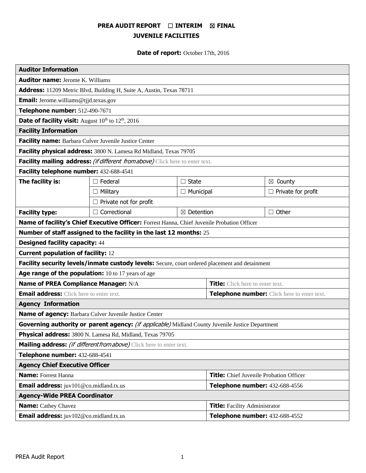# **PREA AUDIT REPORT** ☐ **INTERIM** ☒ **FINAL JUVENILE FACILITIES**

**Date of report:** October 17th, 2016

| <b>Auditor Information</b>                                                                       |                     |                                      |                                                |                           |
|--------------------------------------------------------------------------------------------------|---------------------|--------------------------------------|------------------------------------------------|---------------------------|
| <b>Auditor name:</b> Jerome K. Williams                                                          |                     |                                      |                                                |                           |
| Address: 11209 Metric Blvd, Building H, Suite A, Austin, Texas 78711                             |                     |                                      |                                                |                           |
| <b>Email:</b> Jerome.williams@tjjd.texas.gov                                                     |                     |                                      |                                                |                           |
| Telephone number: 512-490-7671                                                                   |                     |                                      |                                                |                           |
| <b>Date of facility visit:</b> August 10 <sup>th</sup> to 12 <sup>th</sup> , 2016                |                     |                                      |                                                |                           |
| <b>Facility Information</b>                                                                      |                     |                                      |                                                |                           |
| Facility name: Barbara Culver Juvenile Justice Center                                            |                     |                                      |                                                |                           |
| Facility physical address: 3800 N. Lamesa Rd Midland, Texas 79705                                |                     |                                      |                                                |                           |
| Facility mailing address: (if different from above) Click here to enter text.                    |                     |                                      |                                                |                           |
| Facility telephone number: 432-688-4541                                                          |                     |                                      |                                                |                           |
| The facility is:                                                                                 | $\Box$ Federal      | $\Box$ State                         |                                                | $\boxtimes$ County        |
|                                                                                                  | $\Box$ Military     | $\Box$ Municipal                     |                                                | $\Box$ Private for profit |
| $\Box$ Private not for profit                                                                    |                     |                                      |                                                |                           |
| <b>Facility type:</b>                                                                            | $\Box$ Correctional | $\boxtimes$ Detention                |                                                | $\Box$ Other              |
| Name of facility's Chief Executive Officer: Forrest Hanna, Chief Juvenile Probation Officer      |                     |                                      |                                                |                           |
| Number of staff assigned to the facility in the last 12 months: 25                               |                     |                                      |                                                |                           |
| <b>Designed facility capacity: 44</b>                                                            |                     |                                      |                                                |                           |
| <b>Current population of facility: 12</b>                                                        |                     |                                      |                                                |                           |
| Facility security levels/inmate custody levels: Secure, court ordered placement and detainment   |                     |                                      |                                                |                           |
| Age range of the population: 10 to 17 years of age                                               |                     |                                      |                                                |                           |
| Name of PREA Compliance Manager: N/A                                                             |                     |                                      | <b>Title:</b> Click here to enter text.        |                           |
| <b>Email address:</b> Click here to enter text.                                                  |                     |                                      | Telephone number: Click here to enter text.    |                           |
| <b>Agency Information</b>                                                                        |                     |                                      |                                                |                           |
| Name of agency: Barbara Culver Juvenile Justice Center                                           |                     |                                      |                                                |                           |
| Governing authority or parent agency: (if applicable) Midland County Juvenile Justice Department |                     |                                      |                                                |                           |
| Physical address: 3800 N. Lamesa Rd, Midland, Texas 79705                                        |                     |                                      |                                                |                           |
| Mailing address: <i>(if different from above)</i> Click here to enter text.                      |                     |                                      |                                                |                           |
| Telephone number: 432-688-4541                                                                   |                     |                                      |                                                |                           |
| <b>Agency Chief Executive Officer</b>                                                            |                     |                                      |                                                |                           |
| <b>Name:</b> Forrest Hanna                                                                       |                     |                                      | <b>Title:</b> Chief Juvenile Probation Officer |                           |
| <b>Email address:</b> juv101@co.midland.tx.us                                                    |                     |                                      | Telephone number: 432-688-4556                 |                           |
| <b>Agency-Wide PREA Coordinator</b>                                                              |                     |                                      |                                                |                           |
| <b>Name:</b> Cathey Chavez                                                                       |                     | <b>Title:</b> Facility Administrator |                                                |                           |
| Email address: juv102@co.midland.tx.us                                                           |                     |                                      | Telephone number: 432-688-4552                 |                           |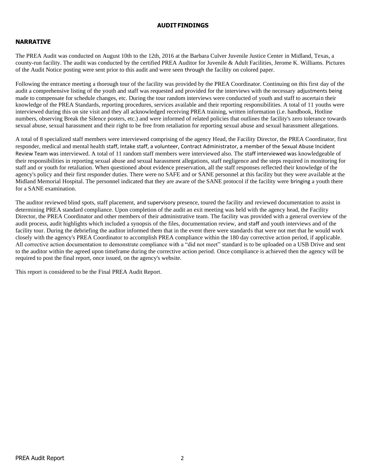#### **AUDITFINDINGS**

### **NARRATIVE**

The PREA Audit was conducted on August 10th to the 12th, 2016 at the Barbara Culver Juvenile Justice Center in Midland, Texas, a county-run facility. The audit was conducted by the certified PREA Auditor for Juvenile & Adult Facilities, Jerome K. Williams. Pictures of the Audit Notice posting were sent prior to this audit and were seen through the facility on colored paper.

Following the entrance meeting a thorough tour of the facility was provided by the PREA Coordinator. Continuing on this first day of the audit a comprehensive listing of the youth and staff was requested and provided for the interviews with the necessary adjustments being made to compensate for schedule changes, etc. During the tour random interviews were conducted of youth and staff to ascertain their knowledge of the PREA Standards, reporting procedures, services available and their reporting responsibilities. A total of 11 youths were interviewed during this on site visit and they all acknowledged receiving PREA training, written information (i.e. handbook, Hotline numbers, observing Break the Silence posters, etc.) and were informed of related policies that outlines the facility's zero tolerance towards sexual abuse, sexual harassment and their right to be free from retaliation for reporting sexual abuse and sexual harassment allegations.

A total of 8 specialized staff members were interviewed comprising of the agency Head, the Facility Director, the PREA Coordinator, first responder, medical and mental health staff, Intake staff, a volunteer, Contract Administrator, a member of the Sexual Abuse Incident Review Team was interviewed. A total of 11 random staff members were interviewed also. The staff interviewed was knowledgeable of their responsibilities in reporting sexual abuse and sexual harassment allegations, staff negligence and the steps required in monitoring for staff and or youth for retaliation. When questioned about evidence preservation, all the staff responses reflected their knowledge of the agency's policy and their first responder duties. There were no SAFE and or SANE personnel at this facility but they were available at the Midland Memorial Hospital. The personnel indicated that they are aware of the SANE protocol if the facility were bringing a youth there for a SANE examination.

The auditor reviewed blind spots, staff placement, and supervisory presence, toured the facility and reviewed documentation to assist in determining PREA standard compliance. Upon completion of the audit an exit meeting was held with the agency head, the Facility Director, the PREA Coordinator and other members of their administrative team. The facility was provided with a general overview of the audit process, audit highlights which included a synopsis of the files, documentation review, and staff and youth interviews and of the facility tour. During the debriefing the auditor informed them that in the event there were standards that were not met that he would work closely with the agency's PREA Coordinator to accomplish PREA compliance within the 180 day corrective action period, if applicable. All corrective action documentation to demonstrate compliance with a "did not meet" standard is to be uploaded on a USB Drive and sent to the auditor within the agreed upon timeframe during the corrective action period. Once compliance is achieved then the agency will be required to post the final report, once issued, on the agency's website.

This report is considered to be the Final PREA Audit Report.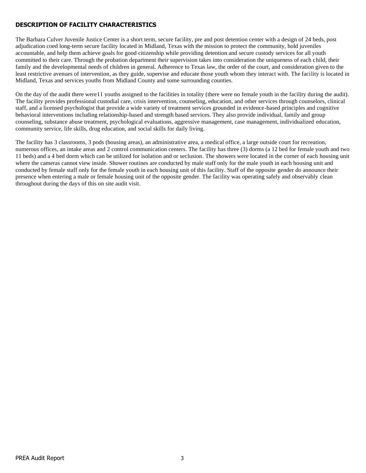## **DESCRIPTION OF FACILITY CHARACTERISTICS**

The Barbara Culver Juvenile Justice Center is a short term, secure facility, pre and post detention center with a design of 24 beds, post adjudication coed long-term secure facility located in Midland, Texas with the mission to protect the community, hold juveniles accountable, and help them achieve goals for good citizenship while providing detention and secure custody services for all youth committed to their care. Through the probation department their supervision takes into consideration the uniqueness of each child, their family and the developmental needs of children in general. Adherence to Texas law, the order of the court, and consideration given to the least restrictive avenues of intervention, as they guide, supervise and educate those youth whom they interact with. The facility is located in Midland, Texas and services youths from Midland County and some surrounding counties.

On the day of the audit there were11 youths assigned to the facilities in totality (there were no female youth in the facility during the audit). The facility provides professional custodial care, crisis intervention, counseling, education, and other services through counselors, clinical staff, and a licensed psychologist that provide a wide variety of treatment services grounded in evidence-based principles and cognitive behavioral interventions including relationship-based and strength based services. They also provide individual, family and group counseling, substance abuse treatment, psychological evaluations, aggressive management, case management, individualized education, community service, life skills, drug education, and social skills for daily living.

The facility has 3 classrooms, 3 pods (housing areas), an administrative area, a medical office, a large outside court for recreation, numerous offices, an intake areas and 2 control communication centers. The facility has three (3) dorms (a 12 bed for female youth and two 11 beds) and a 4 bed dorm which can be utilized for isolation and or seclusion. The showers were located in the corner of each housing unit where the cameras cannot view inside. Shower routines are conducted by male staff only for the male youth in each housing unit and conducted by female staff only for the female youth in each housing unit of this facility. Staff of the opposite gender do announce their presence when entering a male or female housing unit of the opposite gender. The facility was operating safely and observably clean throughout during the days of this on site audit visit.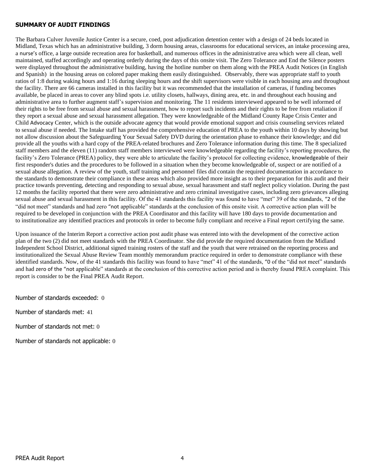#### **SUMMARY OF AUDIT FINDINGS**

The Barbara Culver Juvenile Justice Center is a secure, coed, post adjudication detention center with a design of 24 beds located in Midland, Texas which has an administrative building, 3 dorm housing areas, classrooms for educational services, an intake processing area, a nurse's office, a large outside recreation area for basketball, and numerous offices in the administrative area which were all clean, well maintained, staffed accordingly and operating orderly during the days of this onsite visit. The Zero Tolerance and End the Silence posters were displayed throughout the administrative building, having the hotline number on them along with the PREA Audit Notices (in English and Spanish) in the housing areas on colored paper making them easily distinguished. Observably, there was appropriate staff to youth ratios of 1:8 during waking hours and 1:16 during sleeping hours and the shift supervisors were visible in each housing area and throughout the facility. There are 66 cameras installed in this facility but it was recommended that the installation of cameras, if funding becomes available, be placed in areas to cover any blind spots i.e. utility closets, hallways, dining area, etc. in and throughout each housing and administrative area to further augment staff's supervision and monitoring. The 11 residents interviewed appeared to be well informed of their rights to be free from sexual abuse and sexual harassment, how to report such incidents and their rights to be free from retaliation if they report a sexual abuse and sexual harassment allegation. They were knowledgeable of the Midland County Rape Crisis Center and Child Advocacy Center, which is the outside advocate agency that would provide emotional support and crisis counseling services related to sexual abuse if needed. The Intake staff has provided the comprehensive education of PREA to the youth within 10 days by showing but not allow discussion about the Safeguarding Your Sexual Safety DVD during the orientation phase to enhance their knowledge; and did provide all the youths with a hard copy of the PREA-related brochures and Zero Tolerance information during this time. The 8 specialized staff members and the eleven (11) random staff members interviewed were knowledgeable regarding the facility's reporting procedures, the facility's Zero Tolerance (PREA) policy, they were able to articulate the facility's protocol for collecting evidence, knowledgeable of their first responder's duties and the procedures to be followed in a situation when they become knowledgeable of, suspect or are notified of a sexual abuse allegation. A review of the youth, staff training and personnel files did contain the required documentation in accordance to the standards to demonstrate their compliance in these areas which also provided more insight as to their preparation for this audit and their practice towards preventing, detecting and responding to sexual abuse, sexual harassment and staff neglect policy violation. During the past 12 months the facility reported that there were zero administrative and zero criminal investigative cases, including zero grievances alleging sexual abuse and sexual harassment in this facility. Of the 41 standards this facility was found to have "met" 39 of the standards, "2 of the "did not meet" standards and had zero "not applicable" standards at the conclusion of this onsite visit. A corrective action plan will be required to be developed in conjunction with the PREA Coordinator and this facility will have 180 days to provide documentation and to institutionalize any identified practices and protocols in order to become fully compliant and receive a Final report certifying the same.

Upon issuance of the Interim Report a corrective action post audit phase was entered into with the development of the corrective action plan of the two (2) did not meet standards with the PREA Coordinator. She did provide the required documentation from the Midland Independent School District, additional signed training rosters of the staff and the youth that were retrained on the reporting process and institutionalized the Sexual Abuse Review Team monthly memorandum practice required in order to demonstrate compliance with these identified standards. Now, of the 41 standards this facility was found to have "met" 41 of the standards, "0 of the "did not meet" standards and had zero of the "not applicable" standards at the conclusion of this corrective action period and is thereby found PREA complaint. This report is consider to be the Final PREA Audit Report.

Number of standards exceeded: 0

Number of standards met: 41

Number of standards not met: 0

Number of standards not applicable: 0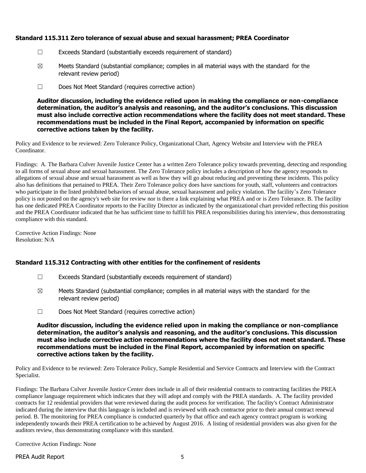### **Standard 115.311 Zero tolerance of sexual abuse and sexual harassment; PREA Coordinator**

- ☐ Exceeds Standard (substantially exceeds requirement of standard)
- $\boxtimes$  Meets Standard (substantial compliance; complies in all material ways with the standard for the relevant review period)
- ☐ Does Not Meet Standard (requires corrective action)

**Auditor discussion, including the evidence relied upon in making the compliance or non-compliance determination, the auditor's analysis and reasoning, and the auditor's conclusions. This discussion must also include corrective action recommendations where the facility does not meet standard. These recommendations must be included in the Final Report, accompanied by information on specific corrective actions taken by the facility.**

Policy and Evidence to be reviewed: Zero Tolerance Policy, Organizational Chart, Agency Website and Interview with the PREA Coordinator.

Findings: A. The Barbara Culver Juvenile Justice Center has a written Zero Tolerance policy towards preventing, detecting and responding to all forms of sexual abuse and sexual harassment. The Zero Tolerance policy includes a description of how the agency responds to allegations of sexual abuse and sexual harassment as well as how they will go about reducing and preventing these incidents. This policy also has definitions that pertained to PREA. Their Zero Tolerance policy does have sanctions for youth, staff, volunteers and contractors who participate in the listed prohibited behaviors of sexual abuse, sexual harassment and policy violation. The facility's Zero Tolerance policy is not posted on the agency's web site for review nor is there a link explaining what PREA and or is Zero Tolerance. B. The facility has one dedicated PREA Coordinator reports to the Facility Director as indicated by the organizational chart provided reflecting this position and the PREA Coordinator indicated that he has sufficient time to fulfill his PREA responsibilities during his interview, thus demonstrating compliance with this standard.

Corrective Action Findings: None Resolution: N/A

### **Standard 115.312 Contracting with other entities for the confinement of residents**

- ☐ Exceeds Standard (substantially exceeds requirement of standard)
- $\boxtimes$  Meets Standard (substantial compliance; complies in all material ways with the standard for the relevant review period)
- ☐ Does Not Meet Standard (requires corrective action)

**Auditor discussion, including the evidence relied upon in making the compliance or non-compliance determination, the auditor's analysis and reasoning, and the auditor's conclusions. This discussion must also include corrective action recommendations where the facility does not meet standard. These recommendations must be included in the Final Report, accompanied by information on specific corrective actions taken by the facility.**

Policy and Evidence to be reviewed: Zero Tolerance Policy, Sample Residential and Service Contracts and Interview with the Contract Specialist.

Findings: The Barbara Culver Juvenile Justice Center does include in all of their residential contracts to contracting facilities the PREA compliance language requirement which indicates that they will adopt and comply with the PREA standards. A. The facility provided contracts for 12 residential providers that were reviewed during the audit process for verification. The facility's Contract Administrator indicated during the interview that this language is included and is reviewed with each contractor prior to their annual contract renewal period. B. The monitoring for PREA compliance is conducted quarterly by that office and each agency contract program is working independently towards their PREA certification to be achieved by August 2016. A listing of residential providers was also given for the auditors review, thus demonstrating compliance with this standard.

Corrective Action Findings: None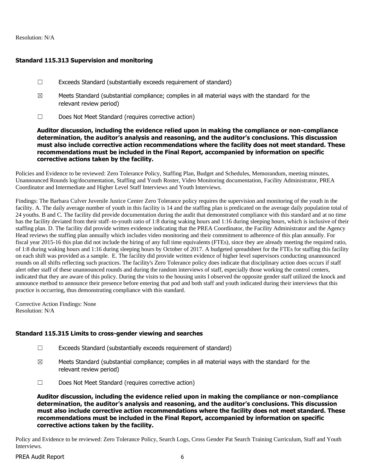#### Resolution: N/A

## **Standard 115.313 Supervision and monitoring**

- ☐ Exceeds Standard (substantially exceeds requirement of standard)
- $\boxtimes$  Meets Standard (substantial compliance; complies in all material ways with the standard for the relevant review period)
- ☐ Does Not Meet Standard (requires corrective action)

**Auditor discussion, including the evidence relied upon in making the compliance or non-compliance determination, the auditor's analysis and reasoning, and the auditor's conclusions. This discussion must also include corrective action recommendations where the facility does not meet standard. These recommendations must be included in the Final Report, accompanied by information on specific corrective actions taken by the facility.**

Policies and Evidence to be reviewed: Zero Tolerance Policy, Staffing Plan, Budget and Schedules, Memorandum, meeting minutes, Unannounced Rounds log/documentation, Staffing and Youth Roster, Video Monitoring documentation, Facility Administrator, PREA Coordinator and Intermediate and Higher Level Staff Interviews and Youth Interviews.

Findings: The Barbara Culver Juvenile Justice Center Zero Tolerance policy requires the supervision and monitoring of the youth in the facility. A. The daily average number of youth in this facility is 14 and the staffing plan is predicated on the average daily population total of 24 youths. B and C. The facility did provide documentation during the audit that demonstrated compliance with this standard and at no time has the facility deviated from their staff–to-youth ratio of 1:8 during waking hours and 1:16 during sleeping hours, which is inclusive of their staffing plan. D. The facility did provide written evidence indicating that the PREA Coordinator, the Facility Administrator and the Agency Head reviews the staffing plan annually which includes video monitoring and their commitment to adherence of this plan annually. For fiscal year 2015-16 this plan did not include the hiring of any full time equivalents (FTEs), since they are already meeting the required ratio, of 1:8 during waking hours and 1:16 during sleeping hours by October of 2017. A budgeted spreadsheet for the FTEs for staffing this facility on each shift was provided as a sample. E. The facility did provide written evidence of higher level supervisors conducting unannounced rounds on all shifts reflecting such practices. The facility's Zero Tolerance policy does indicate that disciplinary action does occurs if staff alert other staff of these unannounced rounds and during the random interviews of staff, especially those working the control centers, indicated that they are aware of this policy. During the visits to the housing units I observed the opposite gender staff utilized the knock and announce method to announce their presence before entering that pod and both staff and youth indicated during their interviews that this practice is occurring, thus demonstrating compliance with this standard.

Corrective Action Findings: None Resolution: N/A

# **Standard 115.315 Limits to cross-gender viewing and searches**

- ☐ Exceeds Standard (substantially exceeds requirement of standard)
- $\boxtimes$  Meets Standard (substantial compliance; complies in all material ways with the standard for the relevant review period)
- ☐ Does Not Meet Standard (requires corrective action)

**Auditor discussion, including the evidence relied upon in making the compliance or non-compliance determination, the auditor's analysis and reasoning, and the auditor's conclusions. This discussion must also include corrective action recommendations where the facility does not meet standard. These recommendations must be included in the Final Report, accompanied by information on specific corrective actions taken by the facility.**

Policy and Evidence to be reviewed: Zero Tolerance Policy, Search Logs, Cross Gender Pat Search Training Curriculum, Staff and Youth Interviews.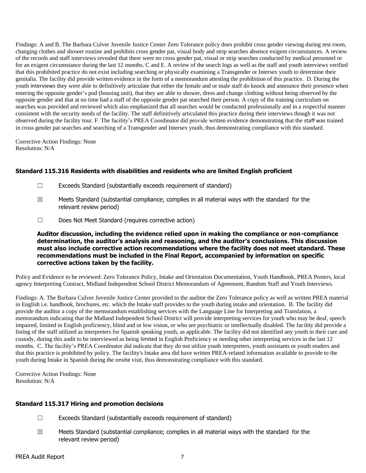Findings: A and B. The Barbara Culver Juvenile Justice Center Zero Tolerance policy does prohibit cross gender viewing during rest room, changing clothes and shower routine and prohibits cross gender pat, visual body and strip searches absence exigent circumstances. A review of the records and staff interviews revealed that there were no cross gender pat, visual or strip searches conducted by medical personnel or for an exigent circumstance during the last 12 months. C and E. A review of the search logs as well as the staff and youth interviews verified that this prohibited practice do not exist including searching or physically examining a Transgender or Intersex youth to determine their genitalia. The facility did provide written evidence in the form of a memorandum attesting the prohibition of this practice. D. During the youth interviews they were able to definitively articulate that either the female and or male staff do knock and announce their presence when entering the opposite gender's pod (housing unit), that they are able to shower, dress and change clothing without being observed by the opposite gender and that at no time had a staff of the opposite gender pat searched their person. A copy of the training curriculum on searches was provided and reviewed which also emphasized that all searches would be conducted professionally and in a respectful manner consistent with the security needs of the facility. The staff definitively articulated this practice during their interviews though it was not observed during the facility tour. F. The facility's PREA Coordinator did provide written evidence demonstrating that the staff was trained in cross gender pat searches and searching of a Transgender and Intersex youth, thus demonstrating compliance with this standard.

Corrective Action Findings: None Resolution: N/A

# **Standard 115.316 Residents with disabilities and residents who are limited English proficient**

- ☐ Exceeds Standard (substantially exceeds requirement of standard)
- $\boxtimes$  Meets Standard (substantial compliance; complies in all material ways with the standard for the relevant review period)
- ☐ Does Not Meet Standard (requires corrective action)

#### **Auditor discussion, including the evidence relied upon in making the compliance or non-compliance determination, the auditor's analysis and reasoning, and the auditor's conclusions. This discussion must also include corrective action recommendations where the facility does not meet standard. These recommendations must be included in the Final Report, accompanied by information on specific corrective actions taken by the facility.**

Policy and Evidence to be reviewed: Zero Tolerance Policy, Intake and Orientation Documentation, Youth Handbook, PREA Posters, local agency Interpreting Contract, Midland Independent School District Memorandum of Agreement, Random Staff and Youth Interviews.

Findings: A. The Barbara Culver Juvenile Justice Center provided to the auditor the Zero Tolerance policy as well as written PREA material in English i.e. handbook, brochures, etc. which the Intake staff provides to the youth during intake and orientation. B. The facility did provide the auditor a copy of the memorandum establishing services with the Language Line for Interpreting and Translation, a memorandum indicating that the Midland Independent School District will provide interpreting services for youth who may be deaf, speech impaired, limited in English proficiency, blind and or low vision, or who are psychiatric or intellectually disabled. The facility did provide a listing of the staff utilized as interpreters for Spanish speaking youth, as applicable. The facility did not identified any youth in their care and custody, during this audit to be interviewed as being limited in English Proficiency or needing other interpreting services in the last 12 months. C. The facility's PREA Coordinator did indicate that they do not utilize youth interpreters, youth assistants or youth readers and that this practice is prohibited by policy. The facility's Intake area did have written PREA-related information available to provide to the youth during Intake in Spanish during the onsite visit, thus demonstrating compliance with this standard.

Corrective Action Findings: None Resolution: N/A

## **Standard 115.317 Hiring and promotion decisions**

- ☐ Exceeds Standard (substantially exceeds requirement of standard)
- $\boxtimes$  Meets Standard (substantial compliance; complies in all material ways with the standard for the relevant review period)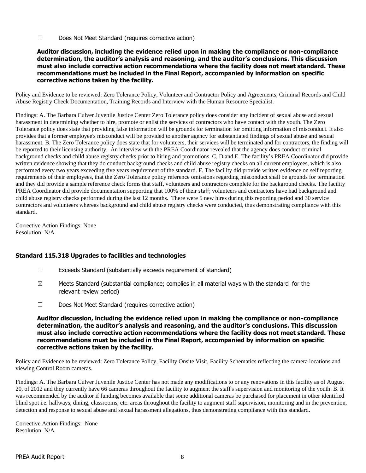☐ Does Not Meet Standard (requires corrective action)

#### **Auditor discussion, including the evidence relied upon in making the compliance or non-compliance determination, the auditor's analysis and reasoning, and the auditor's conclusions. This discussion must also include corrective action recommendations where the facility does not meet standard. These recommendations must be included in the Final Report, accompanied by information on specific corrective actions taken by the facility.**

Policy and Evidence to be reviewed: Zero Tolerance Policy, Volunteer and Contractor Policy and Agreements, Criminal Records and Child Abuse Registry Check Documentation, Training Records and Interview with the Human Resource Specialist.

Findings: A. The Barbara Culver Juvenile Justice Center Zero Tolerance policy does consider any incident of sexual abuse and sexual harassment in determining whether to hire, promote or enlist the services of contractors who have contact with the youth. The Zero Tolerance policy does state that providing false information will be grounds for termination for omitting information of misconduct. It also provides that a former employee's misconduct will be provided to another agency for substantiated findings of sexual abuse and sexual harassment. B. The Zero Tolerance policy does state that for volunteers, their services will be terminated and for contractors, the finding will be reported to their licensing authority. An interview with the PREA Coordinator revealed that the agency does conduct criminal background checks and child abuse registry checks prior to hiring and promotions. C, D and E. The facility's PREA Coordinator did provide written evidence showing that they do conduct background checks and child abuse registry checks on all current employees, which is also performed every two years exceeding five years requirement of the standard. F. The facility did provide written evidence on self reporting requirements of their employees, that the Zero Tolerance policy reference omissions regarding misconduct shall be grounds for termination and they did provide a sample reference check forms that staff, volunteers and contractors complete for the background checks. The facility PREA Coordinator did provide documentation supporting that 100% of their staff; volunteers and contractors have had background and child abuse registry checks performed during the last 12 months. There were 5 new hires during this reporting period and 30 service contractors and volunteers whereas background and child abuse registry checks were conducted, thus demonstrating compliance with this standard.

Corrective Action Findings: None Resolution: N/A

### **Standard 115.318 Upgrades to facilities and technologies**

- $\Box$  Exceeds Standard (substantially exceeds requirement of standard)
- $\boxtimes$  Meets Standard (substantial compliance; complies in all material ways with the standard for the relevant review period)
- ☐ Does Not Meet Standard (requires corrective action)

**Auditor discussion, including the evidence relied upon in making the compliance or non-compliance determination, the auditor's analysis and reasoning, and the auditor's conclusions. This discussion must also include corrective action recommendations where the facility does not meet standard. These recommendations must be included in the Final Report, accompanied by information on specific corrective actions taken by the facility.**

Policy and Evidence to be reviewed: Zero Tolerance Policy, Facility Onsite Visit, Facility Schematics reflecting the camera locations and viewing Control Room cameras.

Findings: A. The Barbara Culver Juvenile Justice Center has not made any modifications to or any renovations in this facility as of August 20, of 2012 and they currently have 66 cameras throughout the facility to augment the staff's supervision and monitoring of the youth. B. It was recommended by the auditor if funding becomes available that some additional cameras be purchased for placement in other identified blind spot i.e. hallways, dining, classrooms, etc. areas throughout the facility to augment staff supervision, monitoring and in the prevention, detection and response to sexual abuse and sexual harassment allegations, thus demonstrating compliance with this standard.

Corrective Action Findings: None Resolution: N/A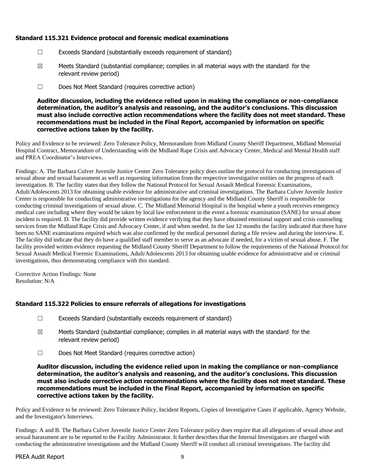## **Standard 115.321 Evidence protocol and forensic medical examinations**

- ☐ Exceeds Standard (substantially exceeds requirement of standard)
- $\boxtimes$  Meets Standard (substantial compliance; complies in all material ways with the standard for the relevant review period)
- ☐ Does Not Meet Standard (requires corrective action)

**Auditor discussion, including the evidence relied upon in making the compliance or non-compliance determination, the auditor's analysis and reasoning, and the auditor's conclusions. This discussion must also include corrective action recommendations where the facility does not meet standard. These recommendations must be included in the Final Report, accompanied by information on specific corrective actions taken by the facility.**

Policy and Evidence to be reviewed: Zero Tolerance Policy, Memorandum from Midland County Sheriff Department, Midland Memorial Hospital Contract, Memorandum of Understanding with the Midland Rape Crisis and Advocacy Center, Medical and Mental Health staff and PREA Coordinator's Interviews.

Findings: A. The Barbara Culver Juvenile Justice Center Zero Tolerance policy does outline the protocol for conducting investigations of sexual abuse and sexual harassment as well as requesting information from the respective investigative entities on the progress of each investigation. B. The facility states that they follow the National Protocol for Sexual Assault Medical Forensic Examinations, Adult/Adolescents 2013 for obtaining usable evidence for administrative and criminal investigations. The Barbara Culver Juvenile Justice Center is responsible for conducting administrative investigations for the agency and the Midland County Sheriff is responsible for conducting criminal investigations of sexual abuse. C. The Midland Memorial Hospital is the hospital where a youth receives emergency medical care including where they would be taken by local law enforcement in the event a forensic examination (SANE) for sexual abuse incident is required. D. The facility did provide written evidence verifying that they have obtained emotional support and crisis counseling services from the Midland Rape Crisis and Advocacy Center, if and when needed. In the last 12 months the facility indicated that there have been no SANE examinations required which was also confirmed by the medical personnel during a file review and during the interview. E. The facility did indicate that they do have a qualified staff member to serve as an advocate if needed, for a victim of sexual abuse. F. The facility provided written evidence requesting the Midland County Sheriff Department to follow the requirements of the National Protocol for Sexual Assault Medical Forensic Examinations, Adult/Adolescents 2013 for obtaining usable evidence for administrative and or criminal investigations, thus demonstrating compliance with this standard.

Corrective Action Findings: None Resolution: N/A

# **Standard 115.322 Policies to ensure referrals of allegations for investigations**

- ☐ Exceeds Standard (substantially exceeds requirement of standard)
- $\boxtimes$  Meets Standard (substantial compliance; complies in all material ways with the standard for the relevant review period)
- ☐ Does Not Meet Standard (requires corrective action)

**Auditor discussion, including the evidence relied upon in making the compliance or non-compliance determination, the auditor's analysis and reasoning, and the auditor's conclusions. This discussion must also include corrective action recommendations where the facility does not meet standard. These recommendations must be included in the Final Report, accompanied by information on specific corrective actions taken by the facility.**

Policy and Evidence to be reviewed: Zero Tolerance Policy, Incident Reports, Copies of Investigative Cases if applicable, Agency Website, and the Investigator's Interviews.

Findings: A and B. The Barbara Culver Juvenile Justice Center Zero Tolerance policy does require that all allegations of sexual abuse and sexual harassment are to be reported to the Facility Administrator. It further describes that the Internal Investigators are charged with conducting the administrative investigations and the Midland County Sheriff will conduct all criminal investigations. The facility did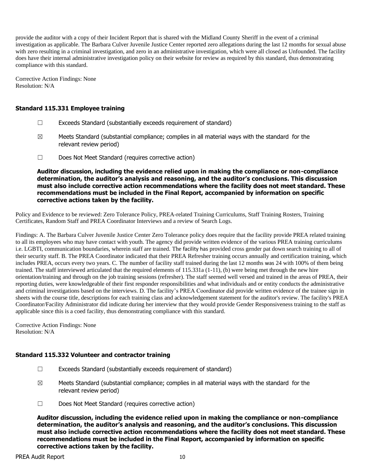provide the auditor with a copy of their Incident Report that is shared with the Midland County Sheriff in the event of a criminal investigation as applicable. The Barbara Culver Juvenile Justice Center reported zero allegations during the last 12 months for sexual abuse with zero resulting in a criminal investigation, and zero in an administrative investigation, which were all closed as Unfounded. The facility does have their internal administrative investigation policy on their website for review as required by this standard, thus demonstrating compliance with this standard.

Corrective Action Findings: None Resolution: N/A

## **Standard 115.331 Employee training**

- ☐ Exceeds Standard (substantially exceeds requirement of standard)
- $\boxtimes$  Meets Standard (substantial compliance; complies in all material ways with the standard for the relevant review period)
- ☐ Does Not Meet Standard (requires corrective action)

**Auditor discussion, including the evidence relied upon in making the compliance or non-compliance determination, the auditor's analysis and reasoning, and the auditor's conclusions. This discussion must also include corrective action recommendations where the facility does not meet standard. These recommendations must be included in the Final Report, accompanied by information on specific corrective actions taken by the facility.**

Policy and Evidence to be reviewed: Zero Tolerance Policy, PREA-related Training Curriculums, Staff Training Rosters, Training Certificates, Random Staff and PREA Coordinator Interviews and a review of Search Logs.

Findings: A. The Barbara Culver Juvenile Justice Center Zero Tolerance policy does require that the facility provide PREA related training to all its employees who may have contact with youth. The agency did provide written evidence of the various PREA training curriculums i.e. LGBTI, communication boundaries, wherein staff are trained. The facility has provided cross gender pat down search training to all of their security staff. B. The PREA Coordinator indicated that their PREA Refresher training occurs annually and certification training, which includes PREA, occurs every two years. C. The number of facility staff trained during the last 12 months was 24 with 100% of them being trained. The staff interviewed articulated that the required elements of 115.331a (1-11), (b) were being met through the new hire orientation/training and through on the job training sessions (refresher). The staff seemed well versed and trained in the areas of PREA, their reporting duties, were knowledgeable of their first responder responsibilities and what individuals and or entity conducts the administrative and criminal investigations based on the interviews. D. The facility's PREA Coordinator did provide written evidence of the trainee sign in sheets with the course title, descriptions for each training class and acknowledgement statement for the auditor's review. The facility's PREA Coordinator/Facility Administrator did indicate during her interview that they would provide Gender Responsiveness training to the staff as applicable since this is a coed facility, thus demonstrating compliance with this standard.

Corrective Action Findings: None Resolution: N/A

### **Standard 115.332 Volunteer and contractor training**

- ☐ Exceeds Standard (substantially exceeds requirement of standard)
- $\boxtimes$  Meets Standard (substantial compliance; complies in all material ways with the standard for the relevant review period)
- ☐ Does Not Meet Standard (requires corrective action)

**Auditor discussion, including the evidence relied upon in making the compliance or non-compliance determination, the auditor's analysis and reasoning, and the auditor's conclusions. This discussion must also include corrective action recommendations where the facility does not meet standard. These recommendations must be included in the Final Report, accompanied by information on specific corrective actions taken by the facility.**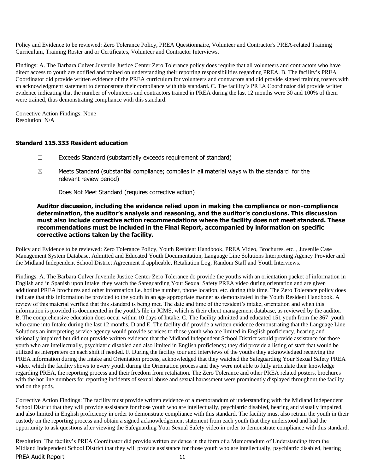Policy and Evidence to be reviewed: Zero Tolerance Policy, PREA Questionnaire, Volunteer and Contractor's PREA-related Training Curriculum, Training Roster and or Certificates, Volunteer and Contractor Interviews.

Findings: A. The Barbara Culver Juvenile Justice Center Zero Tolerance policy does require that all volunteers and contractors who have direct access to youth are notified and trained on understanding their reporting responsibilities regarding PREA. B. The facility's PREA Coordinator did provide written evidence of the PREA curriculum for volunteers and contractors and did provide signed training rosters with an acknowledgment statement to demonstrate their compliance with this standard. C. The facility's PREA Coordinator did provide written evidence indicating that the number of volunteers and contractors trained in PREA during the last 12 months were 30 and 100% of them were trained, thus demonstrating compliance with this standard.

Corrective Action Findings: None Resolution: N/A

#### **Standard 115.333 Resident education**

- ☐ Exceeds Standard (substantially exceeds requirement of standard)
- $\boxtimes$  Meets Standard (substantial compliance; complies in all material ways with the standard for the relevant review period)
- ☐ Does Not Meet Standard (requires corrective action)

#### **Auditor discussion, including the evidence relied upon in making the compliance or non-compliance determination, the auditor's analysis and reasoning, and the auditor's conclusions. This discussion must also include corrective action recommendations where the facility does not meet standard. These recommendations must be included in the Final Report, accompanied by information on specific corrective actions taken by the facility.**

Policy and Evidence to be reviewed: Zero Tolerance Policy, Youth Resident Handbook, PREA Video, Brochures, etc. , Juvenile Case Management System Database, Admitted and Educated Youth Documentation, Language Line Solutions Interpreting Agency Provider and the Midland Independent School District Agreement if applicable, Retaliation Log, Random Staff and Youth Interviews.

Findings: A. The Barbara Culver Juvenile Justice Center Zero Tolerance do provide the youths with an orientation packet of information in English and in Spanish upon Intake, they watch the Safeguarding Your Sexual Safety PREA video during orientation and are given additional PREA brochures and other information i.e. hotline number, phone location, etc. during this time. The Zero Tolerance policy does indicate that this information be provided to the youth in an age appropriate manner as demonstrated in the Youth Resident Handbook. A review of this material verified that this standard is being met. The date and time of the resident's intake, orientation and when this information is provided is documented in the youth's file in JCMS, which is their client management database, as reviewed by the auditor. B. The comprehensive education does occur within 10 days of Intake. C. The facility admitted and educated 151 youth from the 367 youth who came into Intake during the last 12 months. D and E. The facility did provide a written evidence demonstrating that the Language Line Solutions an interpreting service agency would provide services to those youth who are limited in English proficiency, hearing and visionally impaired but did not provide written evidence that the Midland Independent School District would provide assistance for those youth who are intellectually, psychiatric disabled and also limited in English proficiency; they did provide a listing of staff that would be utilized as interpreters on each shift if needed. F. During the facility tour and interviews of the youths they acknowledged receiving the PREA information during the Intake and Orientation process, acknowledged that they watched the Safeguarding Your Sexual Safety PREA video, which the facility shows to every youth during the Orientation process and they were not able to fully articulate their knowledge regarding PREA, the reporting process and their freedom from retaliation. The Zero Tolerance and other PREA related posters, brochures with the hot line numbers for reporting incidents of sexual abuse and sexual harassment were prominently displayed throughout the facility and on the pods.

Corrective Action Findings: The facility must provide written evidence of a memorandum of understanding with the Midland Independent School District that they will provide assistance for those youth who are intellectually, psychiatric disabled, hearing and visually impaired, and also limited in English proficiency in order to demonstrate compliance with this standard. The facility must also retrain the youth in their custody on the reporting process and obtain a signed acknowledgement statement from each youth that they understood and had the opportunity to ask questions after viewing the Safeguarding Your Sexual Safety video in order to demonstrate compliance with this standard.

PREA Audit Report 11 Resolution: The facility's PREA Coordinator did provide written evidence in the form of a Memorandum of Understanding from the Midland Independent School District that they will provide assistance for those youth who are intellectually, psychiatric disabled, hearing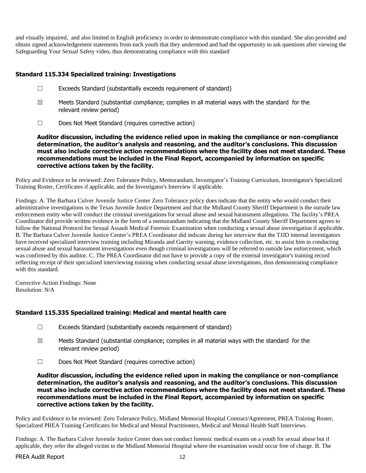and visually impaired, and also limited in English proficiency in order to demonstrate compliance with this standard. She also provided and obtain signed acknowledgement statements from each youth that they understood and had the opportunity to ask questions after viewing the Safeguarding Your Sexual Safety video, thus demonstrating compliance with this standard

## **Standard 115.334 Specialized training: Investigations**

- ☐ Exceeds Standard (substantially exceeds requirement of standard)
- $\boxtimes$  Meets Standard (substantial compliance; complies in all material ways with the standard for the relevant review period)
- ☐ Does Not Meet Standard (requires corrective action)

**Auditor discussion, including the evidence relied upon in making the compliance or non-compliance determination, the auditor's analysis and reasoning, and the auditor's conclusions. This discussion must also include corrective action recommendations where the facility does not meet standard. These recommendations must be included in the Final Report, accompanied by information on specific corrective actions taken by the facility.**

Policy and Evidence to be reviewed: Zero Tolerance Policy, Memorandum, Investigator's Training Curriculum, Investigator's Specialized Training Roster, Certificates if applicable, and the Investigator's Interview if applicable.

Findings: A. The Barbara Culver Juvenile Justice Center Zero Tolerance policy does indicate that the entity who would conduct their administrative investigations is the Texas Juvenile Justice Department and that the Midland County Sheriff Department is the outside law enforcement entity who will conduct the criminal investigations for sexual abuse and sexual harassment allegations. The facility's PREA Coordinator did provide written evidence in the form of a memorandum indicating that the Midland County Sheriff Department agrees to follow the National Protocol for Sexual Assault Medical Forensic Examination when conducting a sexual abuse investigation if applicable. B. The Barbara Culver Juvenile Justice Center's PREA Coordinator did indicate during her interview that the TJJD internal investigators have received specialized interview training including Miranda and Garrity warning, evidence collection, etc. to assist him in conducting sexual abuse and sexual harassment investigations even though criminal investigations will be referred to outside law enforcement, which was confirmed by this auditor. C. The PREA Coordinator did not have to provide a copy of the external investigator's training record reflecting receipt of their specialized interviewing training when conducting sexual abuse investigations, thus demonstrating compliance with this standard.

Corrective Action Findings: None Resolution: N/A

# **Standard 115.335 Specialized training: Medical and mental health care**

- ☐ Exceeds Standard (substantially exceeds requirement of standard)
- $\boxtimes$  Meets Standard (substantial compliance; complies in all material ways with the standard for the relevant review period)
- ☐ Does Not Meet Standard (requires corrective action)

**Auditor discussion, including the evidence relied upon in making the compliance or non-compliance determination, the auditor's analysis and reasoning, and the auditor's conclusions. This discussion must also include corrective action recommendations where the facility does not meet standard. These recommendations must be included in the Final Report, accompanied by information on specific corrective actions taken by the facility.**

Policy and Evidence to be reviewed: Zero Tolerance Policy, Midland Memorial Hospital Contract/Agreement, PREA Training Roster, Specialized PREA Training Certificates for Medical and Mental Practitioners, Medical and Mental Health Staff Interviews.

Findings: A. The Barbara Culver Juvenile Justice Center does not conduct forensic medical exams on a youth for sexual abuse but if applicable, they refer the alleged victim to the Midland Memorial Hospital where the examination would occur free of charge. B. The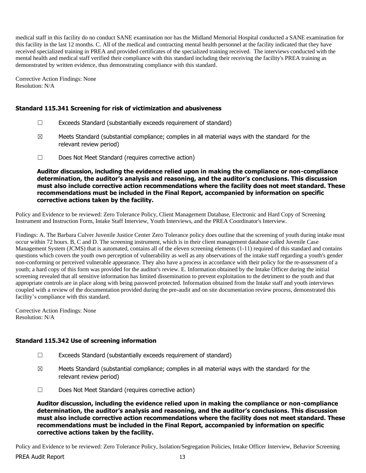medical staff in this facility do no conduct SANE examination nor has the Midland Memorial Hospital conducted a SANE examination for this facility in the last 12 months. C. All of the medical and contracting mental health personnel at the facility indicated that they have received specialized training in PREA and provided certificates of the specialized training received. The interviews conducted with the mental health and medical staff verified their compliance with this standard including their receiving the facility's PREA training as demonstrated by written evidence, thus demonstrating compliance with this standard.

Corrective Action Findings: None Resolution: N/A

## **Standard 115.341 Screening for risk of victimization and abusiveness**

- ☐ Exceeds Standard (substantially exceeds requirement of standard)
- $\boxtimes$  Meets Standard (substantial compliance; complies in all material ways with the standard for the relevant review period)
- ☐ Does Not Meet Standard (requires corrective action)

**Auditor discussion, including the evidence relied upon in making the compliance or non-compliance determination, the auditor's analysis and reasoning, and the auditor's conclusions. This discussion must also include corrective action recommendations where the facility does not meet standard. These recommendations must be included in the Final Report, accompanied by information on specific corrective actions taken by the facility.**

Policy and Evidence to be reviewed: Zero Tolerance Policy, Client Management Database, Electronic and Hard Copy of Screening Instrument and Instruction Form, Intake Staff Interview, Youth Interviews, and the PREA Coordinator's Interview.

Findings: A. The Barbara Culver Juvenile Justice Center Zero Tolerance policy does outline that the screening of youth during intake must occur within 72 hours. B, C and D. The screening instrument, which is in their client management database called Juvenile Case Management System (JCMS) that is automated, contains all of the eleven screening elements (1-11) required of this standard and contains questions which covers the youth own perception of vulnerability as well as any observations of the intake staff regarding a youth's gender non-conforming or perceived vulnerable appearance. They also have a process in accordance with their policy for the re-assessment of a youth; a hard copy of this form was provided for the auditor's review. E. Information obtained by the Intake Officer during the initial screening revealed that all sensitive information has limited dissemination to prevent exploitation to the detriment to the youth and that appropriate controls are in place along with being password protected. Information obtained from the Intake staff and youth interviews coupled with a review of the documentation provided during the pre-audit and on site documentation review process, demonstrated this facility's compliance with this standard.

Corrective Action Findings: None Resolution: N/A

### **Standard 115.342 Use of screening information**

- ☐ Exceeds Standard (substantially exceeds requirement of standard)
- $\boxtimes$  Meets Standard (substantial compliance; complies in all material ways with the standard for the relevant review period)
- ☐ Does Not Meet Standard (requires corrective action)

**Auditor discussion, including the evidence relied upon in making the compliance or non-compliance determination, the auditor's analysis and reasoning, and the auditor's conclusions. This discussion must also include corrective action recommendations where the facility does not meet standard. These recommendations must be included in the Final Report, accompanied by information on specific corrective actions taken by the facility.**

Policy and Evidence to be reviewed: Zero Tolerance Policy, Isolation/Segregation Policies, Intake Officer Interview, Behavior Screening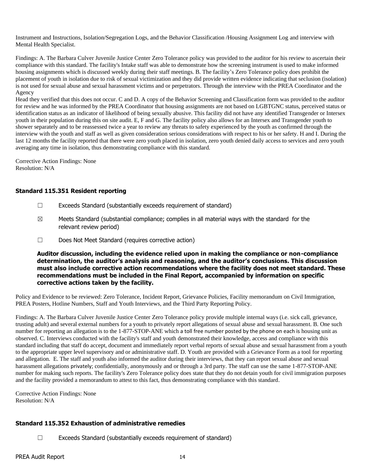Instrument and Instructions, Isolation/Segregation Logs, and the Behavior Classification /Housing Assignment Log and interview with Mental Health Specialist.

Findings: A. The Barbara Culver Juvenile Justice Center Zero Tolerance policy was provided to the auditor for his review to ascertain their compliance with this standard. The facility's Intake staff was able to demonstrate how the screening instrument is used to make informed housing assignments which is discussed weekly during their staff meetings. B. The facility's Zero Tolerance policy does prohibit the placement of youth in isolation due to risk of sexual victimization and they did provide written evidence indicating that seclusion (isolation) is not used for sexual abuse and sexual harassment victims and or perpetrators. Through the interview with the PREA Coordinator and the Agency

Head they verified that this does not occur. C and D. A copy of the Behavior Screening and Classification form was provided to the auditor for review and he was informed by the PREA Coordinator that housing assignments are not based on LGBTGNC status, perceived status or identification status as an indicator of likelihood of being sexually abusive. This facility did not have any identified Transgender or Intersex youth in their population during this on site audit. E, F and G. The facility policy also allows for an Intersex and Transgender youth to shower separately and to be reassessed twice a year to review any threats to safety experienced by the youth as confirmed through the interview with the youth and staff as well as given consideration serious considerations with respect to his or her safety. H and I. During the last 12 months the facility reported that there were zero youth placed in isolation, zero youth denied daily access to services and zero youth averaging any time in isolation, thus demonstrating compliance with this standard.

Corrective Action Findings: None Resolution: N/A

## **Standard 115.351 Resident reporting**

- ☐ Exceeds Standard (substantially exceeds requirement of standard)
- $\boxtimes$  Meets Standard (substantial compliance; complies in all material ways with the standard for the relevant review period)
- ☐ Does Not Meet Standard (requires corrective action)

**Auditor discussion, including the evidence relied upon in making the compliance or non-compliance determination, the auditor's analysis and reasoning, and the auditor's conclusions. This discussion must also include corrective action recommendations where the facility does not meet standard. These recommendations must be included in the Final Report, accompanied by information on specific corrective actions taken by the facility.**

Policy and Evidence to be reviewed: Zero Tolerance, Incident Report, Grievance Policies, Facility memorandum on Civil Immigration, PREA Posters, Hotline Numbers, Staff and Youth Interviews, and the Third Party Reporting Policy.

Findings: A. The Barbara Culver Juvenile Justice Center Zero Tolerance policy provide multiple internal ways (i.e. sick call, grievance, trusting adult) and several external numbers for a youth to privately report allegations of sexual abuse and sexual harassment. B. One such number for reporting an allegation is to the 1-877-STOP-ANE which a toll free number posted by the phone on each is housing unit as observed. C. Interviews conducted with the facility's staff and youth demonstrated their knowledge, access and compliance with this standard including that staff do accept, document and immediately report verbal reports of sexual abuse and sexual harassment from a youth to the appropriate upper level supervisory and or administrative staff. D. Youth are provided with a Grievance Form as a tool for reporting and allegation. E. The staff and youth also informed the auditor during their interviews, that they can report sexual abuse and sexual harassment allegations privately; confidentially, anonymously and or through a 3rd party. The staff can use the same 1-877-STOP-ANE number for making such reports. The facility's Zero Tolerance policy does state that they do not detain youth for civil immigration purposes and the facility provided a memorandum to attest to this fact, thus demonstrating compliance with this standard.

Corrective Action Findings: None Resolution: N/A

# **Standard 115.352 Exhaustion of administrative remedies**

☐ Exceeds Standard (substantially exceeds requirement of standard)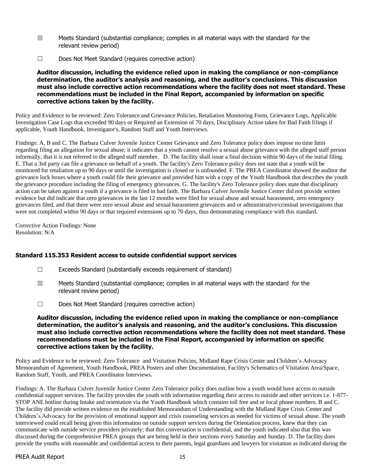- $\boxtimes$  Meets Standard (substantial compliance; complies in all material ways with the standard for the relevant review period)
- ☐ Does Not Meet Standard (requires corrective action)

**Auditor discussion, including the evidence relied upon in making the compliance or non-compliance determination, the auditor's analysis and reasoning, and the auditor's conclusions. This discussion must also include corrective action recommendations where the facility does not meet standard. These recommendations must be included in the Final Report, accompanied by information on specific corrective actions taken by the facility.**

Policy and Evidence to be reviewed: Zero Tolerance and Grievance Policies, Retaliation Monitoring Form, Grievance Logs, Applicable Investigation Case Logs that exceeded 90 days or Required an Extension of 70 days, Disciplinary Action taken for Bad Faith filings if applicable, Youth Handbook, Investigator's, Random Staff and Youth Interviews.

Findings: A, B and C. The Barbara Culver Juvenile Justice Center Grievance and Zero Tolerance policy does impose no time limit regarding filing an allegation for sexual abuse; it indicates that a youth cannot resolve a sexual abuse grievance with the alleged staff person informally, that it is not referred to the alleged staff member. D. The facility shall issue a final decision within 90 days of the initial filing. E. That a 3rd party can file a grievance on behalf of a youth. The facility's Zero Tolerance policy does not state that a youth will be monitored for retaliation up to 90 days or until the investigation is closed or is unfounded. F. The PREA Coordinator showed the auditor the grievance lock boxes where a youth could file their grievance and provided him with a copy of the Youth Handbook that describes the youth the grievance procedure including the filing of emergency grievances. G. The facility's Zero Tolerance policy does state that disciplinary action can be taken against a youth if a grievance is filed in bad faith. The Barbara Culver Juvenile Justice Center did not provide written evidence but did indicate that zero grievances in the last 12 months were filed for sexual abuse and sexual harassment, zero emergency grievances filed, and that there were zero sexual abuse and sexual harassment grievances and or administrative/criminal investigations that were not completed within 90 days or that required extensions up to 70 days, thus demonstrating compliance with this standard.

Corrective Action Findings: None Resolution: N/A

### **Standard 115.353 Resident access to outside confidential support services**

- $\Box$  Exceeds Standard (substantially exceeds requirement of standard)
- $\boxtimes$  Meets Standard (substantial compliance; complies in all material ways with the standard for the relevant review period)
- ☐ Does Not Meet Standard (requires corrective action)

#### **Auditor discussion, including the evidence relied upon in making the compliance or non-compliance determination, the auditor's analysis and reasoning, and the auditor's conclusions. This discussion must also include corrective action recommendations where the facility does not meet standard. These recommendations must be included in the Final Report, accompanied by information on specific corrective actions taken by the facility.**

Policy and Evidence to be reviewed: Zero Tolerance and Visitation Policies, Midland Rape Crisis Center and Children's Advocacy Memorandum of Agreement, Youth Handbook, PREA Posters and other Documentation, Facility's Schematics of Visitation Area/Space, Random Staff, Youth, and PREA Coordinator Interviews.

Findings: A. The Barbara Culver Juvenile Justice Center Zero Tolerance policy does outline how a youth would have access to outside confidential support services. The facility provides the youth with information regarding their access to outside and other services i.e. 1-877- STOP ANE hotline during Intake and orientation via the Youth Handbook which contains toll free and or local phone numbers. B and C. The facility did provide written evidence on the established Memorandum of Understanding with the Midland Rape Crisis Center and Children's Advocacy for the provision of emotional support and crisis counseling services as needed for victims of sexual abuse. The youth interviewed could recall being given this information on outside support services during the Orientation process, knew that they can communicate with outside service providers privately; that this conversation is confidential, and the youth indicated also that this was discussed during the comprehensive PREA groups that are being held in their sections every Saturday and Sunday. D. The facility does provide the youths with reasonable and confidential access to their parents, legal guardians and lawyers for visitation as indicated during the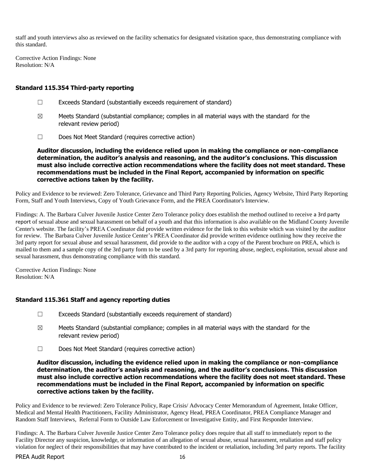staff and youth interviews also as reviewed on the facility schematics for designated visitation space, thus demonstrating compliance with this standard.

Corrective Action Findings: None Resolution: N/A

### **Standard 115.354 Third-party reporting**

- ☐ Exceeds Standard (substantially exceeds requirement of standard)
- $\boxtimes$  Meets Standard (substantial compliance; complies in all material ways with the standard for the relevant review period)
- ☐ Does Not Meet Standard (requires corrective action)

**Auditor discussion, including the evidence relied upon in making the compliance or non-compliance determination, the auditor's analysis and reasoning, and the auditor's conclusions. This discussion must also include corrective action recommendations where the facility does not meet standard. These recommendations must be included in the Final Report, accompanied by information on specific corrective actions taken by the facility.**

Policy and Evidence to be reviewed: Zero Tolerance, Grievance and Third Party Reporting Policies, Agency Website, Third Party Reporting Form, Staff and Youth Interviews, Copy of Youth Grievance Form, and the PREA Coordinator's Interview.

Findings: A. The Barbara Culver Juvenile Justice Center Zero Tolerance policy does establish the method outlined to receive a 3rd party report of sexual abuse and sexual harassment on behalf of a youth and that this information is also available on the Midland County Juvenile Center's website. The facility's PREA Coordinator did provide written evidence for the link to this website which was visited by the auditor for review. The Barbara Culver Juvenile Justice Center's PREA Coordinator did provide written evidence outlining how they receive the 3rd party report for sexual abuse and sexual harassment, did provide to the auditor with a copy of the Parent brochure on PREA, which is mailed to them and a sample copy of the 3rd party form to be used by a 3rd party for reporting abuse, neglect, exploitation, sexual abuse and sexual harassment, thus demonstrating compliance with this standard.

Corrective Action Findings: None Resolution: N/A

### **Standard 115.361 Staff and agency reporting duties**

- ☐ Exceeds Standard (substantially exceeds requirement of standard)
- $\boxtimes$  Meets Standard (substantial compliance; complies in all material ways with the standard for the relevant review period)
- ☐ Does Not Meet Standard (requires corrective action)

#### **Auditor discussion, including the evidence relied upon in making the compliance or non-compliance determination, the auditor's analysis and reasoning, and the auditor's conclusions. This discussion must also include corrective action recommendations where the facility does not meet standard. These recommendations must be included in the Final Report, accompanied by information on specific corrective actions taken by the facility.**

Policy and Evidence to be reviewed: Zero Tolerance Policy, Rape Crisis/ Advocacy Center Memorandum of Agreement, Intake Officer, Medical and Mental Health Practitioners, Facility Administrator, Agency Head, PREA Coordinator, PREA Compliance Manager and Random Staff Interviews, Referral Form to Outside Law Enforcement or Investigative Entity, and First Responder Interview.

Findings: A. The Barbara Culver Juvenile Justice Center Zero Tolerance policy does require that all staff to immediately report to the Facility Director any suspicion, knowledge, or information of an allegation of sexual abuse, sexual harassment, retaliation and staff policy violation for neglect of their responsibilities that may have contributed to the incident or retaliation, including 3rd party reports. The facility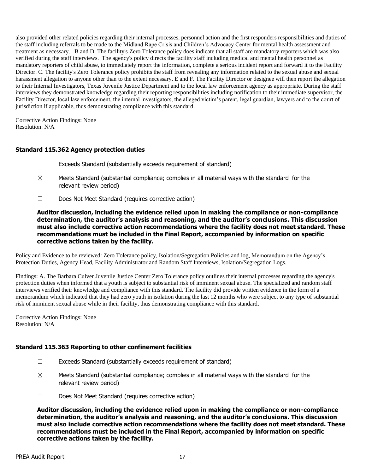also provided other related policies regarding their internal processes, personnel action and the first responders responsibilities and duties of the staff including referrals to be made to the Midland Rape Crisis and Children's Advocacy Center for mental health assessment and treatment as necessary. B and D. The facility's Zero Tolerance policy does indicate that all staff are mandatory reporters which was also verified during the staff interviews. The agency's policy directs the facility staff including medical and mental health personnel as mandatory reporters of child abuse, to immediately report the information, complete a serious incident report and forward it to the Facility Director. C. The facility's Zero Tolerance policy prohibits the staff from revealing any information related to the sexual abuse and sexual harassment allegation to anyone other than to the extent necessary. E and F. The Facility Director or designee will then report the allegation to their Internal Investigators, Texas Juvenile Justice Department and to the local law enforcement agency as appropriate. During the staff interviews they demonstrated knowledge regarding their reporting responsibilities including notification to their immediate supervisor, the Facility Director, local law enforcement, the internal investigators, the alleged victim's parent, legal guardian, lawyers and to the court of jurisdiction if applicable, thus demonstrating compliance with this standard.

Corrective Action Findings: None Resolution: N/A

### **Standard 115.362 Agency protection duties**

- ☐ Exceeds Standard (substantially exceeds requirement of standard)
- $\boxtimes$  Meets Standard (substantial compliance; complies in all material ways with the standard for the relevant review period)
- ☐ Does Not Meet Standard (requires corrective action)

**Auditor discussion, including the evidence relied upon in making the compliance or non-compliance determination, the auditor's analysis and reasoning, and the auditor's conclusions. This discussion must also include corrective action recommendations where the facility does not meet standard. These recommendations must be included in the Final Report, accompanied by information on specific corrective actions taken by the facility.**

Policy and Evidence to be reviewed: Zero Tolerance policy, Isolation/Segregation Policies and log, Memorandum on the Agency's Protection Duties, Agency Head, Facility Administrator and Random Staff Interviews, Isolation/Segregation Logs.

Findings: A. The Barbara Culver Juvenile Justice Center Zero Tolerance policy outlines their internal processes regarding the agency's protection duties when informed that a youth is subject to substantial risk of imminent sexual abuse. The specialized and random staff interviews verified their knowledge and compliance with this standard. The facility did provide written evidence in the form of a memorandum which indicated that they had zero youth in isolation during the last 12 months who were subject to any type of substantial risk of imminent sexual abuse while in their facility, thus demonstrating compliance with this standard.

Corrective Action Findings: None Resolution: N/A

#### **Standard 115.363 Reporting to other confinement facilities**

- ☐ Exceeds Standard (substantially exceeds requirement of standard)
- $\boxtimes$  Meets Standard (substantial compliance; complies in all material ways with the standard for the relevant review period)
- ☐ Does Not Meet Standard (requires corrective action)

**Auditor discussion, including the evidence relied upon in making the compliance or non-compliance determination, the auditor's analysis and reasoning, and the auditor's conclusions. This discussion must also include corrective action recommendations where the facility does not meet standard. These recommendations must be included in the Final Report, accompanied by information on specific corrective actions taken by the facility.**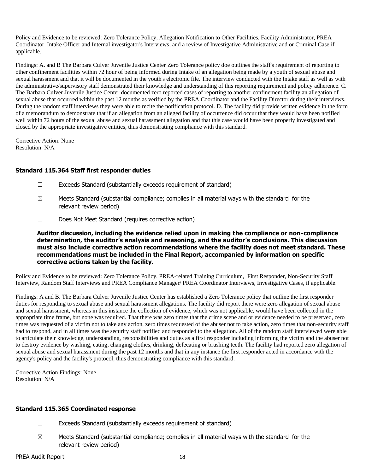Policy and Evidence to be reviewed: Zero Tolerance Policy, Allegation Notification to Other Facilities, Facility Administrator, PREA Coordinator, Intake Officer and Internal investigator's Interviews, and a review of Investigative Administrative and or Criminal Case if applicable.

Findings: A. and B The Barbara Culver Juvenile Justice Center Zero Tolerance policy doe outlines the staff's requirement of reporting to other confinement facilities within 72 hour of being informed during Intake of an allegation being made by a youth of sexual abuse and sexual harassment and that it will be documented in the youth's electronic file. The interview conducted with the Intake staff as well as with the administrative/supervisory staff demonstrated their knowledge and understanding of this reporting requirement and policy adherence. C. The Barbara Culver Juvenile Justice Center documented zero reported cases of reporting to another confinement facility an allegation of sexual abuse that occurred within the past 12 months as verified by the PREA Coordinator and the Facility Director during their interviews. During the random staff interviews they were able to recite the notification protocol. D. The facility did provide written evidence in the form of a memorandum to demonstrate that if an allegation from an alleged facility of occurrence did occur that they would have been notified well within 72 hours of the sexual abuse and sexual harassment allegation and that this case would have been properly investigated and closed by the appropriate investigative entities, thus demonstrating compliance with this standard.

Corrective Action: None Resolution: N/A

### **Standard 115.364 Staff first responder duties**

- ☐ Exceeds Standard (substantially exceeds requirement of standard)
- $\boxtimes$  Meets Standard (substantial compliance; complies in all material ways with the standard for the relevant review period)
- ☐ Does Not Meet Standard (requires corrective action)

#### **Auditor discussion, including the evidence relied upon in making the compliance or non-compliance determination, the auditor's analysis and reasoning, and the auditor's conclusions. This discussion must also include corrective action recommendations where the facility does not meet standard. These recommendations must be included in the Final Report, accompanied by information on specific corrective actions taken by the facility.**

Policy and Evidence to be reviewed: Zero Tolerance Policy, PREA-related Training Curriculum, First Responder, Non-Security Staff Interview, Random Staff Interviews and PREA Compliance Manager/ PREA Coordinator Interviews, Investigative Cases, if applicable.

Findings: A and B. The Barbara Culver Juvenile Justice Center has established a Zero Tolerance policy that outline the first responder duties for responding to sexual abuse and sexual harassment allegations. The facility did report there were zero allegation of sexual abuse and sexual harassment, whereas in this instance the collection of evidence, which was not applicable, would have been collected in the appropriate time frame, but none was required. That there was zero times that the crime scene and or evidence needed to be preserved, zero times was requested of a victim not to take any action, zero times requested of the abuser not to take action, zero times that non-security staff had to respond, and in all times was the security staff notified and responded to the allegation. All of the random staff interviewed were able to articulate their knowledge, understanding, responsibilities and duties as a first responder including informing the victim and the abuser not to destroy evidence by washing, eating, changing clothes, drinking, defecating or brushing teeth. The facility had reported zero allegation of sexual abuse and sexual harassment during the past 12 months and that in any instance the first responder acted in accordance with the agency's policy and the facility's protocol, thus demonstrating compliance with this standard.

Corrective Action Findings: None Resolution: N/A

### **Standard 115.365 Coordinated response**

- ☐ Exceeds Standard (substantially exceeds requirement of standard)
- $\boxtimes$  Meets Standard (substantial compliance; complies in all material ways with the standard for the relevant review period)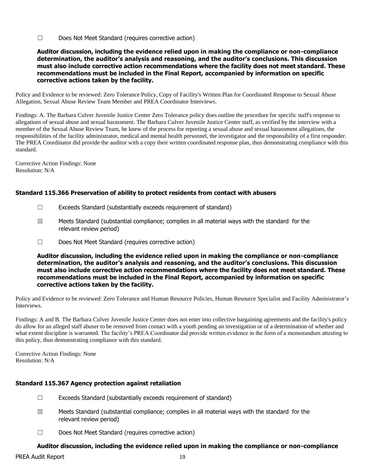☐ Does Not Meet Standard (requires corrective action)

#### **Auditor discussion, including the evidence relied upon in making the compliance or non-compliance determination, the auditor's analysis and reasoning, and the auditor's conclusions. This discussion must also include corrective action recommendations where the facility does not meet standard. These recommendations must be included in the Final Report, accompanied by information on specific corrective actions taken by the facility.**

Policy and Evidence to be reviewed: Zero Tolerance Policy, Copy of Facility's Written Plan for Coordinated Response to Sexual Abuse Allegation, Sexual Abuse Review Team Member and PREA Coordinator Interviews.

Findings: A. The Barbara Culver Juvenile Justice Center Zero Tolerance policy does outline the procedure for specific staff's response to allegations of sexual abuse and sexual harassment. The Barbara Culver Juvenile Justice Center staff, as verified by the interview with a member of the Sexual Abuse Review Team, he knew of the process for reporting a sexual abuse and sexual harassment allegations, the responsibilities of the facility administrator, medical and mental health personnel, the investigator and the responsibility of a first responder. The PREA Coordinator did provide the auditor with a copy their written coordinated response plan, thus demonstrating compliance with this standard.

Corrective Action Findings: None Resolution: N/A

## **Standard 115.366 Preservation of ability to protect residents from contact with abusers**

- ☐ Exceeds Standard (substantially exceeds requirement of standard)
- $\boxtimes$  Meets Standard (substantial compliance; complies in all material ways with the standard for the relevant review period)
- ☐ Does Not Meet Standard (requires corrective action)

**Auditor discussion, including the evidence relied upon in making the compliance or non-compliance determination, the auditor's analysis and reasoning, and the auditor's conclusions. This discussion must also include corrective action recommendations where the facility does not meet standard. These recommendations must be included in the Final Report, accompanied by information on specific corrective actions taken by the facility.**

Policy and Evidence to be reviewed: Zero Tolerance and Human Resource Policies, Human Resource Specialist and Facility Administrator's Interviews.

Findings: A and B. The Barbara Culver Juvenile Justice Center does not enter into collective bargaining agreements and the facility's policy do allow for an alleged staff abuser to be removed from contact with a youth pending an investigation or of a determination of whether and what extent discipline is warranted. The facility's PREA Coordinator did provide written evidence in the form of a memorandum attesting to this policy, thus demonstrating compliance with this standard.

Corrective Action Findings: None Resolution: N/A

# **Standard 115.367 Agency protection against retaliation**

- ☐ Exceeds Standard (substantially exceeds requirement of standard)
- $\boxtimes$  Meets Standard (substantial compliance; complies in all material ways with the standard for the relevant review period)
- ☐ Does Not Meet Standard (requires corrective action)

# **Auditor discussion, including the evidence relied upon in making the compliance or non-compliance**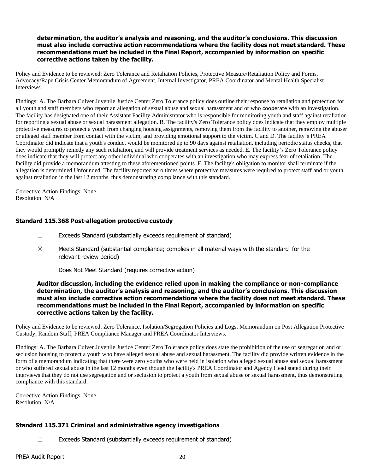## **determination, the auditor's analysis and reasoning, and the auditor's conclusions. This discussion must also include corrective action recommendations where the facility does not meet standard. These recommendations must be included in the Final Report, accompanied by information on specific corrective actions taken by the facility.**

Policy and Evidence to be reviewed: Zero Tolerance and Retaliation Policies, Protective Measure/Retaliation Policy and Forms, Advocacy/Rape Crisis Center Memorandum of Agreement, Internal Investigator, PREA Coordinator and Mental Health Specialist Interviews.

Findings: A. The Barbara Culver Juvenile Justice Center Zero Tolerance policy does outline their response to retaliation and protection for all youth and staff members who report an allegation of sexual abuse and sexual harassment and or who cooperate with an investigation. The facility has designated one of their Assistant Facility Administrator who is responsible for monitoring youth and staff against retaliation for reporting a sexual abuse or sexual harassment allegation. B. The facility's Zero Tolerance policy does indicate that they employ multiple protective measures to protect a youth from changing housing assignments, removing them from the facility to another, removing the abuser or alleged staff member from contact with the victim, and providing emotional support to the victim. C and D. The facility's PREA Coordinator did indicate that a youth's conduct would be monitored up to 90 days against retaliation, including periodic status checks, that they would promptly remedy any such retaliation, and will provide treatment services as needed. E. The facility's Zero Tolerance policy does indicate that they will protect any other individual who cooperates with an investigation who may express fear of retaliation. The facility did provide a memorandum attesting to these aforementioned points. F. The facility's obligation to monitor shall terminate if the allegation is determined Unfounded. The facility reported zero times where protective measures were required to protect staff and or youth against retaliation in the last 12 months, thus demonstrating compliance with this standard.

Corrective Action Findings: None Resolution: N/A

### **Standard 115.368 Post-allegation protective custody**

- ☐ Exceeds Standard (substantially exceeds requirement of standard)
- $\boxtimes$  Meets Standard (substantial compliance; complies in all material ways with the standard for the relevant review period)
- ☐ Does Not Meet Standard (requires corrective action)

#### **Auditor discussion, including the evidence relied upon in making the compliance or non-compliance determination, the auditor's analysis and reasoning, and the auditor's conclusions. This discussion must also include corrective action recommendations where the facility does not meet standard. These recommendations must be included in the Final Report, accompanied by information on specific corrective actions taken by the facility.**

Policy and Evidence to be reviewed: Zero Tolerance, Isolation/Segregation Policies and Logs, Memorandum on Post Allegation Protective Custody, Random Staff, PREA Compliance Manager and PREA Coordinator Interviews.

Findings: A. The Barbara Culver Juvenile Justice Center Zero Tolerance policy does state the prohibition of the use of segregation and or seclusion housing to protect a youth who have alleged sexual abuse and sexual harassment. The facility did provide written evidence in the form of a memorandum indicating that there were zero youths who were held in isolation who alleged sexual abuse and sexual harassment or who suffered sexual abuse in the last 12 months even though the facility's PREA Coordinator and Agency Head stated during their interviews that they do not use segregation and or seclusion to protect a youth from sexual abuse or sexual harassment, thus demonstrating compliance with this standard.

Corrective Action Findings: None Resolution: N/A

### **Standard 115.371 Criminal and administrative agency investigations**

☐ Exceeds Standard (substantially exceeds requirement of standard)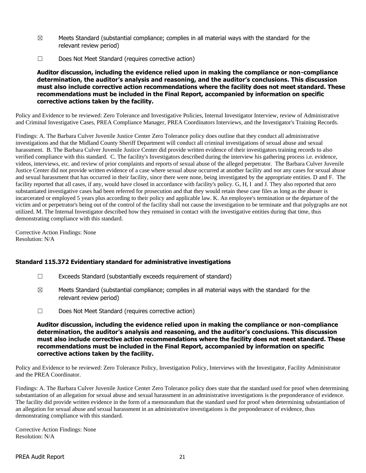- $\boxtimes$  Meets Standard (substantial compliance; complies in all material ways with the standard for the relevant review period)
- ☐ Does Not Meet Standard (requires corrective action)

**Auditor discussion, including the evidence relied upon in making the compliance or non-compliance determination, the auditor's analysis and reasoning, and the auditor's conclusions. This discussion must also include corrective action recommendations where the facility does not meet standard. These recommendations must be included in the Final Report, accompanied by information on specific corrective actions taken by the facility.**

Policy and Evidence to be reviewed: Zero Tolerance and Investigative Policies, Internal Investigator Interview, review of Administrative and Criminal Investigative Cases, PREA Compliance Manager, PREA Coordinators Interviews, and the Investigator's Training Records.

Findings: A. The Barbara Culver Juvenile Justice Center Zero Tolerance policy does outline that they conduct all administrative investigations and that the Midland County Sheriff Department will conduct all criminal investigations of sexual abuse and sexual harassment. B. The Barbara Culver Juvenile Justice Center did provide written evidence of their investigators training records to also verified compliance with this standard. C. The facility's Investigators described during the interview his gathering process i.e. evidence, videos, interviews, etc. and review of prior complaints and reports of sexual abuse of the alleged perpetrator. The Barbara Culver Juvenile Justice Center did not provide written evidence of a case where sexual abuse occurred at another facility and nor any cases for sexual abuse and sexual harassment that has occurred in their facility, since there were none, being investigated by the appropriate entities. D and F. The facility reported that all cases, if any, would have closed in accordance with facility's policy. G, H, I and J. They also reported that zero substantiated investigative cases had been referred for prosecution and that they would retain these case files as long as the abuser is incarcerated or employed 5 years plus according to their policy and applicable law. K. An employee's termination or the departure of the victim and or perpetrator's being out of the control of the facility shall not cause the investigation to be terminate and that polygraphs are not utilized. M. The Internal Investigator described how they remained in contact with the investigative entities during that time, thus demonstrating compliance with this standard.

Corrective Action Findings: None Resolution: N/A

### **Standard 115.372 Evidentiary standard for administrative investigations**

- ☐ Exceeds Standard (substantially exceeds requirement of standard)
- $\boxtimes$  Meets Standard (substantial compliance; complies in all material ways with the standard for the relevant review period)
- ☐ Does Not Meet Standard (requires corrective action)

**Auditor discussion, including the evidence relied upon in making the compliance or non-compliance determination, the auditor's analysis and reasoning, and the auditor's conclusions. This discussion must also include corrective action recommendations where the facility does not meet standard. These recommendations must be included in the Final Report, accompanied by information on specific corrective actions taken by the facility.**

Policy and Evidence to be reviewed: Zero Tolerance Policy, Investigation Policy, Interviews with the Investigator, Facility Administrator and the PREA Coordinator.

Findings: A. The Barbara Culver Juvenile Justice Center Zero Tolerance policy does state that the standard used for proof when determining substantiation of an allegation for sexual abuse and sexual harassment in an administrative investigations is the preponderance of evidence. The facility did provide written evidence in the form of a memorandum that the standard used for proof when determining substantiation of an allegation for sexual abuse and sexual harassment in an administrative investigations is the preponderance of evidence, thus demonstrating compliance with this standard.

Corrective Action Findings: None Resolution: N/A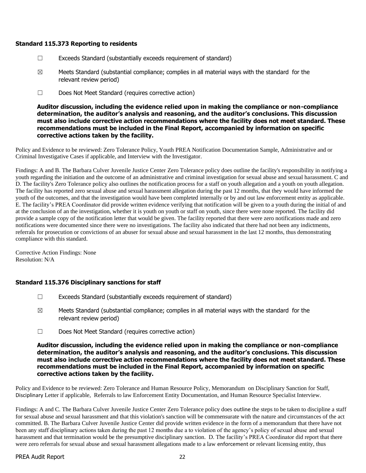### **Standard 115.373 Reporting to residents**

- $\Box$  Exceeds Standard (substantially exceeds requirement of standard)
- $\boxtimes$  Meets Standard (substantial compliance; complies in all material ways with the standard for the relevant review period)
- ☐ Does Not Meet Standard (requires corrective action)

**Auditor discussion, including the evidence relied upon in making the compliance or non-compliance determination, the auditor's analysis and reasoning, and the auditor's conclusions. This discussion must also include corrective action recommendations where the facility does not meet standard. These recommendations must be included in the Final Report, accompanied by information on specific corrective actions taken by the facility.**

Policy and Evidence to be reviewed: Zero Tolerance Policy, Youth PREA Notification Documentation Sample, Administrative and or Criminal Investigative Cases if applicable, and Interview with the Investigator.

Findings: A and B. The Barbara Culver Juvenile Justice Center Zero Tolerance policy does outline the facility's responsibility in notifying a youth regarding the initiation and the outcome of an administrative and criminal investigation for sexual abuse and sexual harassment. C and D. The facility's Zero Tolerance policy also outlines the notification process for a staff on youth allegation and a youth on youth allegation. The facility has reported zero sexual abuse and sexual harassment allegation during the past 12 months, that they would have informed the youth of the outcomes, and that the investigation would have been completed internally or by and out law enforcement entity as applicable. E. The facility's PREA Coordinator did provide written evidence verifying that notification will be given to a youth during the initial of and at the conclusion of an the investigation, whether it is youth on youth or staff on youth, since there were none reported. The facility did provide a sample copy of the notification letter that would be given. The facility reported that there were zero notifications made and zero notifications were documented since there were no investigations. The facility also indicated that there had not been any indictments, referrals for prosecution or convictions of an abuser for sexual abuse and sexual harassment in the last 12 months, thus demonstrating compliance with this standard.

Corrective Action Findings: None Resolution: N/A

### **Standard 115.376 Disciplinary sanctions for staff**

- ☐ Exceeds Standard (substantially exceeds requirement of standard)
- $\boxtimes$  Meets Standard (substantial compliance; complies in all material ways with the standard for the relevant review period)
- ☐ Does Not Meet Standard (requires corrective action)

#### **Auditor discussion, including the evidence relied upon in making the compliance or non-compliance determination, the auditor's analysis and reasoning, and the auditor's conclusions. This discussion must also include corrective action recommendations where the facility does not meet standard. These recommendations must be included in the Final Report, accompanied by information on specific corrective actions taken by the facility.**

Policy and Evidence to be reviewed: Zero Tolerance and Human Resource Policy, Memorandum on Disciplinary Sanction for Staff, Disciplinary Letter if applicable, Referrals to law Enforcement Entity Documentation, and Human Resource Specialist Interview.

Findings: A and C. The Barbara Culver Juvenile Justice Center Zero Tolerance policy does outline the steps to be taken to discipline a staff for sexual abuse and sexual harassment and that this violation's sanction will be commensurate with the nature and circumstances of the act committed. B. The Barbara Culver Juvenile Justice Center did provide written evidence in the form of a memorandum that there have not been any staff disciplinary actions taken during the past 12 months due a to violation of the agency's policy of sexual abuse and sexual harassment and that termination would be the presumptive disciplinary sanction. D. The facility's PREA Coordinator did report that there were zero referrals for sexual abuse and sexual harassment allegations made to a law enforcement or relevant licensing entity, thus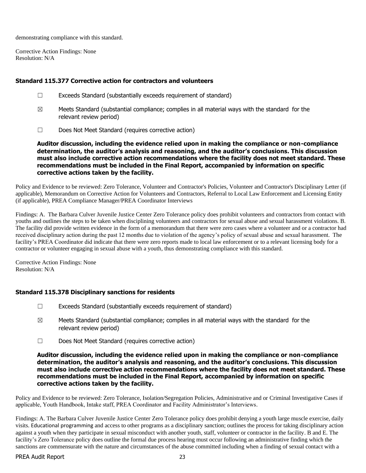demonstrating compliance with this standard.

Corrective Action Findings: None Resolution: N/A

#### **Standard 115.377 Corrective action for contractors and volunteers**

- ☐ Exceeds Standard (substantially exceeds requirement of standard)
- $\boxtimes$  Meets Standard (substantial compliance; complies in all material ways with the standard for the relevant review period)
- ☐ Does Not Meet Standard (requires corrective action)

**Auditor discussion, including the evidence relied upon in making the compliance or non-compliance determination, the auditor's analysis and reasoning, and the auditor's conclusions. This discussion must also include corrective action recommendations where the facility does not meet standard. These recommendations must be included in the Final Report, accompanied by information on specific corrective actions taken by the facility.**

Policy and Evidence to be reviewed: Zero Tolerance, Volunteer and Contractor's Policies, Volunteer and Contractor's Disciplinary Letter (if applicable), Memorandum on Corrective Action for Volunteers and Contractors, Referral to Local Law Enforcement and Licensing Entity (if applicable), PREA Compliance Manager/PREA Coordinator Interviews

Findings: A. The Barbara Culver Juvenile Justice Center Zero Tolerance policy does prohibit volunteers and contractors from contact with youths and outlines the steps to be taken when disciplining volunteers and contractors for sexual abuse and sexual harassment violations. B. The facility did provide written evidence in the form of a memorandum that there were zero cases where a volunteer and or a contractor had received disciplinary action during the past 12 months due to violation of the agency's policy of sexual abuse and sexual harassment. The facility's PREA Coordinator did indicate that there were zero reports made to local law enforcement or to a relevant licensing body for a contractor or volunteer engaging in sexual abuse with a youth, thus demonstrating compliance with this standard.

Corrective Action Findings: None Resolution: N/A

### **Standard 115.378 Disciplinary sanctions for residents**

- $\Box$  Exceeds Standard (substantially exceeds requirement of standard)
- $\boxtimes$  Meets Standard (substantial compliance; complies in all material ways with the standard for the relevant review period)
- ☐ Does Not Meet Standard (requires corrective action)

#### **Auditor discussion, including the evidence relied upon in making the compliance or non-compliance determination, the auditor's analysis and reasoning, and the auditor's conclusions. This discussion must also include corrective action recommendations where the facility does not meet standard. These recommendations must be included in the Final Report, accompanied by information on specific corrective actions taken by the facility.**

Policy and Evidence to be reviewed: Zero Tolerance, Isolation/Segregation Policies, Administrative and or Criminal Investigative Cases if applicable, Youth Handbook, Intake staff, PREA Coordinator and Facility Administrator's Interviews.

Findings: A. The Barbara Culver Juvenile Justice Center Zero Tolerance policy does prohibit denying a youth large muscle exercise, daily visits. Educational programming and access to other programs as a disciplinary sanction; outlines the process for taking disciplinary action against a youth when they participate in sexual misconduct with another youth, staff, volunteer or contractor in the facility. B and E. The facility's Zero Tolerance policy does outline the formal due process hearing must occur following an administrative finding which the sanctions are commensurate with the nature and circumstances of the abuse committed including when a finding of sexual contact with a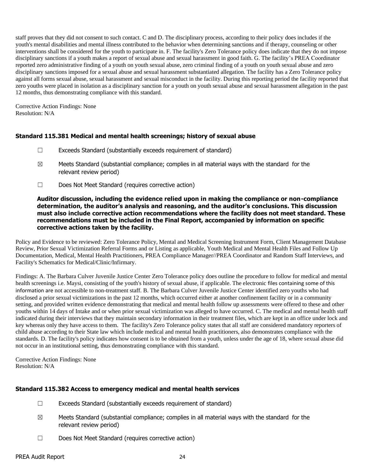staff proves that they did not consent to such contact. C and D. The disciplinary process, according to their policy does includes if the youth's mental disabilities and mental illness contributed to the behavior when determining sanctions and if therapy, counseling or other interventions shall be considered for the youth to participate in. F. The facility's Zero Tolerance policy does indicate that they do not impose disciplinary sanctions if a youth makes a report of sexual abuse and sexual harassment in good faith. G. The facility's PREA Coordinator reported zero administrative finding of a youth on youth sexual abuse, zero criminal finding of a youth on youth sexual abuse and zero disciplinary sanctions imposed for a sexual abuse and sexual harassment substantiated allegation. The facility has a Zero Tolerance policy against all forms sexual abuse, sexual harassment and sexual misconduct in the facility. During this reporting period the facility reported that zero youths were placed in isolation as a disciplinary sanction for a youth on youth sexual abuse and sexual harassment allegation in the past 12 months, thus demonstrating compliance with this standard.

Corrective Action Findings: None Resolution: N/A

## **Standard 115.381 Medical and mental health screenings; history of sexual abuse**

- ☐ Exceeds Standard (substantially exceeds requirement of standard)
- $\boxtimes$  Meets Standard (substantial compliance; complies in all material ways with the standard for the relevant review period)
- ☐ Does Not Meet Standard (requires corrective action)

#### **Auditor discussion, including the evidence relied upon in making the compliance or non-compliance determination, the auditor's analysis and reasoning, and the auditor's conclusions. This discussion must also include corrective action recommendations where the facility does not meet standard. These recommendations must be included in the Final Report, accompanied by information on specific corrective actions taken by the facility.**

Policy and Evidence to be reviewed: Zero Tolerance Policy, Mental and Medical Screening Instrument Form, Client Management Database Review, Prior Sexual Victimization Referral Forms and or Listing as applicable, Youth Medical and Mental Health Files and Follow Up Documentation, Medical, Mental Health Practitioners, PREA Compliance Manager//PREA Coordinator and Random Staff Interviews, and Facility's Schematics for Medical/Clinic/Infirmary.

Findings: A. The Barbara Culver Juvenile Justice Center Zero Tolerance policy does outline the procedure to follow for medical and mental health screenings i.e. Maysi, consisting of the youth's history of sexual abuse, if applicable. The electronic files containing some of this information are not accessible to non-treatment staff. B. The Barbara Culver Juvenile Justice Center identified zero youths who had disclosed a prior sexual victimizations in the past 12 months, which occurred either at another confinement facility or in a community setting, and provided written evidence demonstrating that medical and mental health follow up assessments were offered to these and other youths within 14 days of Intake and or when prior sexual victimization was alleged to have occurred. C. The medical and mental health staff indicated during their interviews that they maintain secondary information in their treatment files, which are kept in an office under lock and key whereas only they have access to them. The facility's Zero Tolerance policy states that all staff are considered mandatory reporters of child abuse according to their State law which include medical and mental health practitioners, also demonstrates compliance with the standards. D. The facility's policy indicates how consent is to be obtained from a youth, unless under the age of 18, where sexual abuse did not occur in an institutional setting, thus demonstrating compliance with this standard.

Corrective Action Findings: None Resolution: N/A

### **Standard 115.382 Access to emergency medical and mental health services**

- ☐ Exceeds Standard (substantially exceeds requirement of standard)
- $\boxtimes$  Meets Standard (substantial compliance; complies in all material ways with the standard for the relevant review period)
- ☐ Does Not Meet Standard (requires corrective action)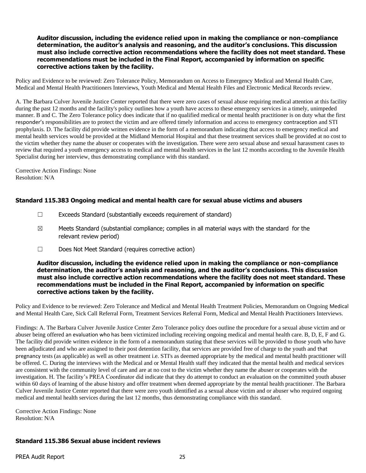#### **Auditor discussion, including the evidence relied upon in making the compliance or non-compliance determination, the auditor's analysis and reasoning, and the auditor's conclusions. This discussion must also include corrective action recommendations where the facility does not meet standard. These recommendations must be included in the Final Report, accompanied by information on specific corrective actions taken by the facility.**

Policy and Evidence to be reviewed: Zero Tolerance Policy, Memorandum on Access to Emergency Medical and Mental Health Care, Medical and Mental Health Practitioners Interviews, Youth Medical and Mental Health Files and Electronic Medical Records review.

A. The Barbara Culver Juvenile Justice Center reported that there were zero cases of sexual abuse requiring medical attention at this facility during the past 12 months and the facility's policy outlines how a youth have access to these emergency services in a timely, unimpeded manner. B and C. The Zero Tolerance policy does indicate that if no qualified medical or mental health practitioner is on duty what the first responder's responsibilities are to protect the victim and are offered timely information and access to emergency contraception and STI prophylaxis. D. The facility did provide written evidence in the form of a memorandum indicating that access to emergency medical and mental health services would be provided at the Midland Memorial Hospital and that these treatment services shall be provided at no cost to the victim whether they name the abuser or cooperates with the investigation. There were zero sexual abuse and sexual harassment cases to review that required a youth emergency access to medical and mental health services in the last 12 months according to the Juvenile Health Specialist during her interview, thus demonstrating compliance with this standard.

Corrective Action Findings: None Resolution: N/A

### **Standard 115.383 Ongoing medical and mental health care for sexual abuse victims and abusers**

- ☐ Exceeds Standard (substantially exceeds requirement of standard)
- $\boxtimes$  Meets Standard (substantial compliance; complies in all material ways with the standard for the relevant review period)
- ☐ Does Not Meet Standard (requires corrective action)

#### **Auditor discussion, including the evidence relied upon in making the compliance or non-compliance determination, the auditor's analysis and reasoning, and the auditor's conclusions. This discussion must also include corrective action recommendations where the facility does not meet standard. These recommendations must be included in the Final Report, accompanied by information on specific corrective actions taken by the facility.**

Policy and Evidence to be reviewed: Zero Tolerance and Medical and Mental Health Treatment Policies, Memorandum on Ongoing Medical and Mental Health Care, Sick Call Referral Form, Treatment Services Referral Form, Medical and Mental Health Practitioners Interviews.

Findings: A. The Barbara Culver Juvenile Justice Center Zero Tolerance policy does outline the procedure for a sexual abuse victim and or abuser being offered an evaluation who has been victimized including receiving ongoing medical and mental health care. B, D, E, F and G. The facility did provide written evidence in the form of a memorandum stating that these services will be provided to those youth who have been adjudicated and who are assigned to their post detention facility, that services are provided free of charge to the youth and that pregnancy tests (as applicable) as well as other treatment i.e. STI's as deemed appropriate by the medical and mental health practitioner will be offered. C. During the interviews with the Medical and or Mental Health staff they indicated that the mental health and medical services are consistent with the community level of care and are at no cost to the victim whether they name the abuser or cooperates with the investigation. H. The facility's PREA Coordinator did indicate that they do attempt to conduct an evaluation on the committed youth abuser within 60 days of learning of the abuse history and offer treatment when deemed appropriate by the mental health practitioner. The Barbara Culver Juvenile Justice Center reported that there were zero youth identified as a sexual abuse victim and or abuser who required ongoing medical and mental health services during the last 12 months, thus demonstrating compliance with this standard.

Corrective Action Findings: None Resolution: N/A

### **Standard 115.386 Sexual abuse incident reviews**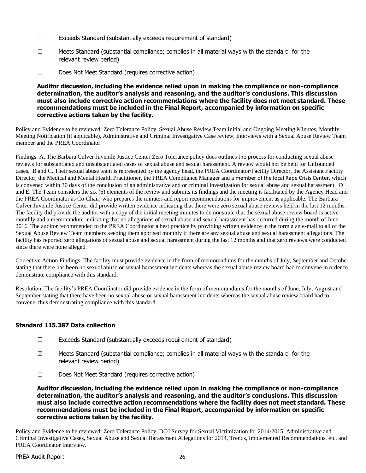- ☐ Exceeds Standard (substantially exceeds requirement of standard)
- $\boxtimes$  Meets Standard (substantial compliance; complies in all material ways with the standard for the relevant review period)
- ☐ Does Not Meet Standard (requires corrective action)

### **Auditor discussion, including the evidence relied upon in making the compliance or non-compliance determination, the auditor's analysis and reasoning, and the auditor's conclusions. This discussion must also include corrective action recommendations where the facility does not meet standard. These recommendations must be included in the Final Report, accompanied by information on specific corrective actions taken by the facility.**

Policy and Evidence to be reviewed: Zero Tolerance Policy, Sexual Abuse Review Team Initial and Ongoing Meeting Minutes, Monthly Meeting Notification (if applicable), Administrative and Criminal Investigative Case review, Interviews with a Sexual Abuse Review Team member and the PREA Coordinator.

Findings: A. The Barbara Culver Juvenile Justice Center Zero Tolerance policy does outlines the process for conducting sexual abuse reviews for substantiated and unsubstantiated cases of sexual abuse and sexual harassment. A review would not be held for Unfounded cases. B and C. Their sexual abuse team is represented by the agency head, the PREA Coordinator/Facility Director, the Assistant Facility Director, the Medical and Mental Health Practitioner, the PREA Compliance Manager and a member of the local Rape Crisis Center, which is convened within 30 days of the conclusion of an administrative and or criminal investigation for sexual abuse and sexual harassment. D and E. The Team considers the six (6) elements of the review and submits its findings and the meeting is facilitated by the Agency Head and the PREA Coordinator as Co-Chair, who prepares the minutes and report recommendations for improvement as applicable. The Barbara Culver Juvenile Justice Center did provide written evidence indicating that there were zero sexual abuse reviews held in the last 12 months. The facility did provide the auditor with a copy of the initial meeting minutes to demonstrate that the sexual abuse review board is active monthly and a memorandum indicating that no allegations of sexual abuse and sexual harassment has occurred during the month of June 2016. The auditor recommended to the PREA Coordinator a best practice by providing written evidence in the form a an e-mail to all of the Sexual Abuse Review Team members keeping them apprised monthly if there are any sexual abuse and sexual harassment allegations. The facility has reported zero allegations of sexual abuse and sexual harassment during the last 12 months and that zero reviews were conducted since there were none alleged.

Corrective Action Findings: The facility must provide evidence in the form of memorandums for the months of July, September and October stating that there has been no sexual abuse or sexual harassment incidents whereas the sexual abuse review board had to convene in order to demonstrate compliance with this standard.

Resolution: The facility's PREA Coordinator did provide evidence in the form of memorandums for the months of June, July, August and September stating that there have been no sexual abuse or sexual harassment incidents whereas the sexual abuse review board had to convene, thus demonstrating compliance with this standard.

### **Standard 115.387 Data collection**

- ☐ Exceeds Standard (substantially exceeds requirement of standard)
- $\boxtimes$  Meets Standard (substantial compliance; complies in all material ways with the standard for the relevant review period)
- ☐ Does Not Meet Standard (requires corrective action)

**Auditor discussion, including the evidence relied upon in making the compliance or non-compliance determination, the auditor's analysis and reasoning, and the auditor's conclusions. This discussion must also include corrective action recommendations where the facility does not meet standard. These recommendations must be included in the Final Report, accompanied by information on specific corrective actions taken by the facility.**

Policy and Evidence to be reviewed: Zero Tolerance Policy, DOJ Survey for Sexual Victimization for 2014/2015, Administrative and Criminal Investigative Cases, Sexual Abuse and Sexual Harassment Allegations for 2014, Trends, Implemented Recommendations, etc. and PREA Coordinator Interview.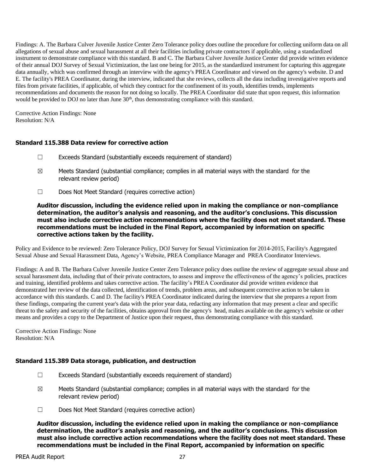Findings: A. The Barbara Culver Juvenile Justice Center Zero Tolerance policy does outline the procedure for collecting uniform data on all allegations of sexual abuse and sexual harassment at all their facilities including private contractors if applicable, using a standardized instrument to demonstrate compliance with this standard. B and C. The Barbara Culver Juvenile Justice Center did provide written evidence of their annual DOJ Survey of Sexual Victimization, the last one being for 2015, as the standardized instrument for capturing this aggregate data annually, which was confirmed through an interview with the agency's PREA Coordinator and viewed on the agency's website. D and E. The facility's PREA Coordinator, during the interview, indicated that she reviews, collects all the data including investigative reports and files from private facilities, if applicable, of which they contract for the confinement of its youth, identifies trends, implements recommendations and documents the reason for not doing so locally. The PREA Coordinator did state that upon request, this information would be provided to DOJ no later than June  $30<sup>th</sup>$ , thus demonstrating compliance with this standard.

Corrective Action Findings: None Resolution: N/A

## **Standard 115.388 Data review for corrective action**

- ☐ Exceeds Standard (substantially exceeds requirement of standard)
- $\boxtimes$  Meets Standard (substantial compliance; complies in all material ways with the standard for the relevant review period)
- ☐ Does Not Meet Standard (requires corrective action)

**Auditor discussion, including the evidence relied upon in making the compliance or non-compliance determination, the auditor's analysis and reasoning, and the auditor's conclusions. This discussion must also include corrective action recommendations where the facility does not meet standard. These recommendations must be included in the Final Report, accompanied by information on specific corrective actions taken by the facility.**

Policy and Evidence to be reviewed: Zero Tolerance Policy, DOJ Survey for Sexual Victimization for 2014-2015, Facility's Aggregated Sexual Abuse and Sexual Harassment Data, Agency's Website, PREA Compliance Manager and PREA Coordinator Interviews.

Findings: A and B. The Barbara Culver Juvenile Justice Center Zero Tolerance policy does outline the review of aggregate sexual abuse and sexual harassment data, including that of their private contractors, to assess and improve the effectiveness of the agency's policies, practices and training, identified problems and takes corrective action. The facility's PREA Coordinator did provide written evidence that demonstrated her review of the data collected, identification of trends, problem areas, and subsequent corrective action to be taken in accordance with this standards. C and D. The facility's PREA Coordinator indicated during the interview that she prepares a report from these findings, comparing the current year's data with the prior year data, redacting any information that may present a clear and specific threat to the safety and security of the facilities, obtains approval from the agency's head, makes available on the agency's website or other means and provides a copy to the Department of Justice upon their request, thus demonstrating compliance with this standard.

Corrective Action Findings: None Resolution: N/A

#### **Standard 115.389 Data storage, publication, and destruction**

- $\Box$  Exceeds Standard (substantially exceeds requirement of standard)
- $\boxtimes$  Meets Standard (substantial compliance; complies in all material ways with the standard for the relevant review period)
- ☐ Does Not Meet Standard (requires corrective action)

**Auditor discussion, including the evidence relied upon in making the compliance or non-compliance determination, the auditor's analysis and reasoning, and the auditor's conclusions. This discussion must also include corrective action recommendations where the facility does not meet standard. These recommendations must be included in the Final Report, accompanied by information on specific**